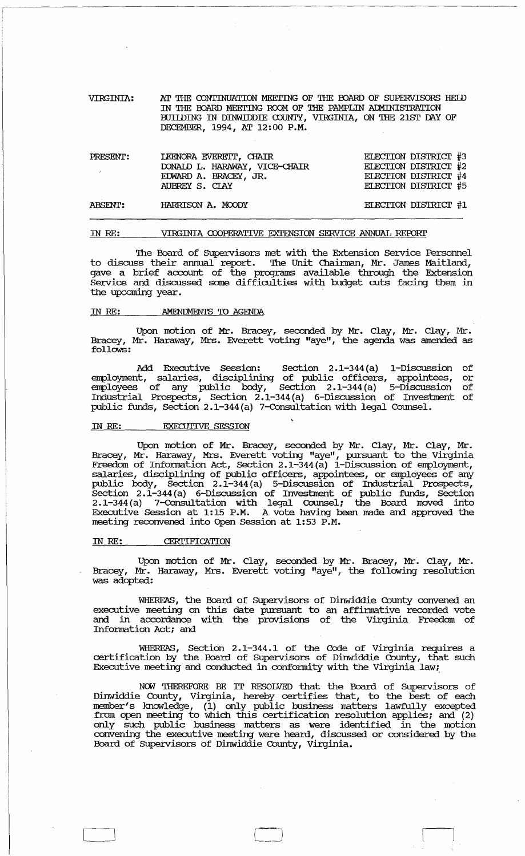VIRGINIA: AT THE CONTINUATION MEETING OF THE BOARD OF SUPERVISORS HEID IN THE BOARD MEETING ROOM OF THE PAMPLIN ADMINISTRATION BUIIDING IN DINWIDDIE COUNTY, VIRGINIA, ON THE 21ST DAY OF DECEMBER, 1994, AT 12: 00 P.M.

| PRESENT:       | LEENORA EVEREIT, CHAIR<br>DONAID L. HARAWAY, VICE-CHAIR<br>EDWARD A. BRACEY, JR.<br>AUBREY S. CLAY | ELECTION DISTRICT #3<br>ELECTION DISTRICT #2<br>ELECTION DISTRICT #4<br>ELECTION DISTRICT #5 |  |
|----------------|----------------------------------------------------------------------------------------------------|----------------------------------------------------------------------------------------------|--|
| <b>ABSENT:</b> | HARRISON A. MOODY                                                                                  | ELECTION DISTRICT #1                                                                         |  |

#### IN RE: VIRGINIA COOPERATIVE EXTENSION SERVICE ANNUAL REPORT

The Board of Supervisors met with the Extension Service Personnel to discuss their annual report. The Unit Chairman, Mr. James Maitland, gave a brief account of the programs available through the Extension service and discussed some difficulties with budget cuts facing them in the upcoming year.

### IN RE: AMENIMENTS TO AGENDA

Upon motion of Mr. Bracey, seconded by Mr. Clay, Mr. Clay, Mr • Bracey, Mr. Haraway, Mrs. Everett voting "aye", the agenda was amended as follows:

Add Executive session: section 2.1-344 (a) 1-Discussion of employment, salaries, disciplining of public officers, appointees, or employees of any public body, Section 2.1-344 (a) 5-Discussion of Industrial Prospects, Section 2.1-344 (a) 6-Discussion of Invesbnent of public funds, Section 2.1-344(a) 7-Consultation with legal Counsel.

#### IN RE: EXECUTIVE SESSION

Upon motion of Mr. Bracey, seconded by Mr. Clay, Mr. Clay, Mr. Bracey, Mr. Haraway, Mrs. Everett voting "aye", pursuant to the virginia Freedom of Information Act, Section 2.1-344(a) I-Discussion of employment, salaries, disciplining of public officers, appointees, or employees of any public body, Section 2.1-344 (a) 5-Discussion of Industrial Prospects, Section 2.1-344 (a) 6-Discussion of Investment of public funds, section 2. 1-344 (a) 7-Consultation with legal Counsel; the Board. moved into Executive Session at 1:15 P.M. A vote having been made and approved the meeting reconvened into Open Session at 1:53 P.M.

## IN RE: CERTIFICATION

 $\Box$ 

Upon motion of Mr. Clay, seconded by Mr. Bracey, Mr. Clay, Mr. Bracey, Mr. Haraway, Mrs. Everett voting "aye", the following resolution was adopted:

WHEREAS, the Board of Supervisors of Dinwiddie County convened an executive meeting on this date pursuant to an affirmative recorded vote and in accordance with the provisions of the Virginia Freedom of Information Act; and

WHEREAS, Section 2.1-344.1 of the Code of Virginia requires a certification by the Board of Supervisors of Dinwiddie County, that such Executive meeting and conducted in confonnity with the Virginia law;

NCM THEREFORE BE IT RESOLVED that the Board. of Supervisors of Dinwiddie County, Virginia, hereby certifies that, to the best of each member's knowledge, (1) only public business matters lawfully excepted from open meetirg to which this certification resolution applies; and (2) only such public business matters as were identified in the motion convening the executive meeting were heard, discussed or considered by the Board. of SUpervisors of Dinwiddie County, virginia.